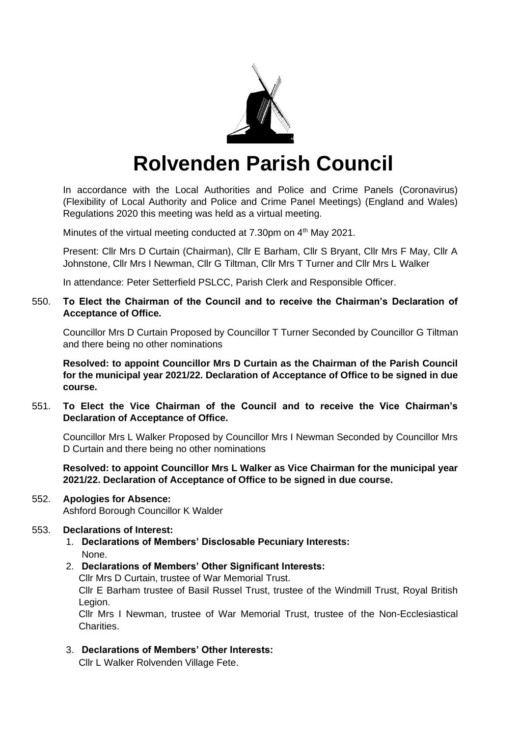

# **Rolvenden Parish Council**

In accordance with the Local Authorities and Police and Crime Panels (Coronavirus) (Flexibility of Local Authority and Police and Crime Panel Meetings) (England and Wales) Regulations 2020 this meeting was held as a virtual meeting.

Minutes of the virtual meeting conducted at 7.30pm on 4<sup>th</sup> May 2021.

Present: Cllr Mrs D Curtain (Chairman), Cllr E Barham, Cllr S Bryant, Cllr Mrs F May, Cllr A Johnstone, Cllr Mrs I Newman, Cllr G Tiltman, Cllr Mrs T Turner and Cllr Mrs L Walker

In attendance: Peter Setterfield PSLCC, Parish Clerk and Responsible Officer.

# 550. **To Elect the Chairman of the Council and to receive the Chairman's Declaration of Acceptance of Office.**

Councillor Mrs D Curtain Proposed by Councillor T Turner Seconded by Councillor G Tiltman and there being no other nominations

**Resolved: to appoint Councillor Mrs D Curtain as the Chairman of the Parish Council for the municipal year 2021/22. Declaration of Acceptance of Office to be signed in due course.**

551. **To Elect the Vice Chairman of the Council and to receive the Vice Chairman's Declaration of Acceptance of Office.**

Councillor Mrs L Walker Proposed by Councillor Mrs I Newman Seconded by Councillor Mrs D Curtain and there being no other nominations

**Resolved: to appoint Councillor Mrs L Walker as Vice Chairman for the municipal year 2021/22. Declaration of Acceptance of Office to be signed in due course.**

# 552. **Apologies for Absence:**

Ashford Borough Councillor K Walder

# 553. **Declarations of Interest:**

- 1. **Declarations of Members' Disclosable Pecuniary Interests:** None.
- 2. **Declarations of Members' Other Significant Interests:**

Cllr Mrs D Curtain, trustee of War Memorial Trust.

Cllr E Barham trustee of Basil Russel Trust, trustee of the Windmill Trust, Royal British Legion.

Cllr Mrs I Newman, trustee of War Memorial Trust, trustee of the Non-Ecclesiastical Charities.

3. **Declarations of Members' Other Interests:**

Cllr L Walker Rolvenden Village Fete.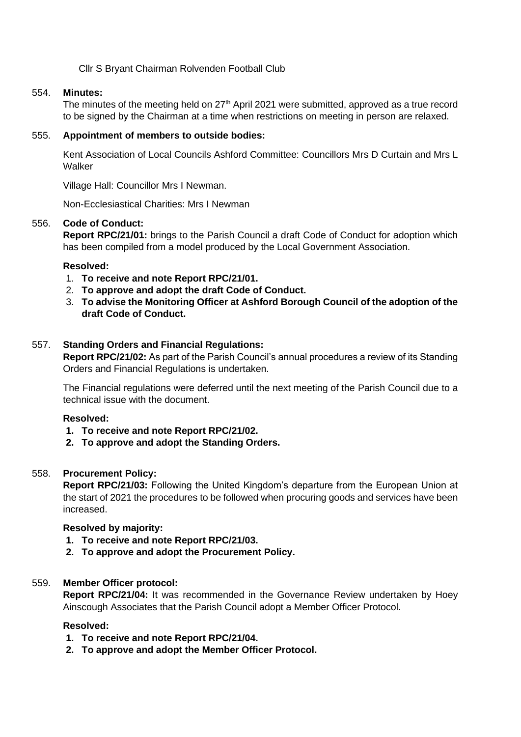Cllr S Bryant Chairman Rolvenden Football Club

## 554. **Minutes:**

The minutes of the meeting held on 27<sup>th</sup> April 2021 were submitted, approved as a true record to be signed by the Chairman at a time when restrictions on meeting in person are relaxed.

## 555. **Appointment of members to outside bodies:**

Kent Association of Local Councils Ashford Committee: Councillors Mrs D Curtain and Mrs L Walker

Village Hall: Councillor Mrs I Newman.

Non-Ecclesiastical Charities: Mrs I Newman

## 556. **Code of Conduct:**

**Report RPC/21/01:** brings to the Parish Council a draft Code of Conduct for adoption which has been compiled from a model produced by the Local Government Association.

## **Resolved:**

- 1. **To receive and note Report RPC/21/01.**
- 2. **To approve and adopt the draft Code of Conduct.**
- 3. **To advise the Monitoring Officer at Ashford Borough Council of the adoption of the draft Code of Conduct.**

## 557. **Standing Orders and Financial Regulations:**

**Report RPC/21/02:** As part of the Parish Council's annual procedures a review of its Standing Orders and Financial Regulations is undertaken.

The Financial regulations were deferred until the next meeting of the Parish Council due to a technical issue with the document.

#### **Resolved:**

- **1. To receive and note Report RPC/21/02.**
- **2. To approve and adopt the Standing Orders.**

#### 558. **Procurement Policy:**

**Report RPC/21/03:** Following the United Kingdom's departure from the European Union at the start of 2021 the procedures to be followed when procuring goods and services have been increased.

#### **Resolved by majority:**

- **1. To receive and note Report RPC/21/03.**
- **2. To approve and adopt the Procurement Policy.**

# 559. **Member Officer protocol:**

**Report RPC/21/04:** It was recommended in the Governance Review undertaken by Hoey Ainscough Associates that the Parish Council adopt a Member Officer Protocol.

#### **Resolved:**

- **1. To receive and note Report RPC/21/04.**
- **2. To approve and adopt the Member Officer Protocol.**